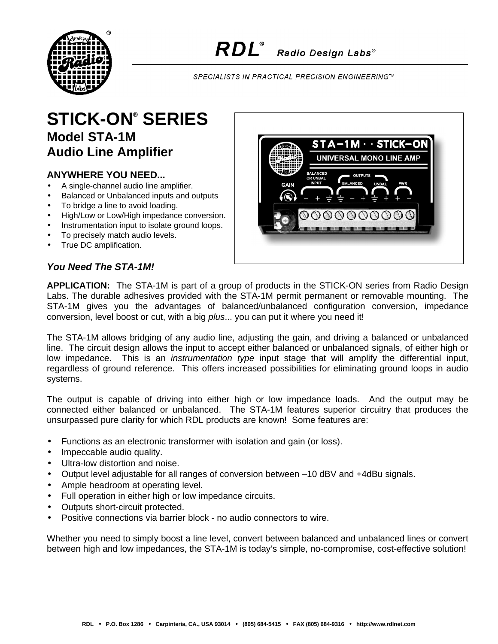

SPECIALISTS IN PRACTICAL PRECISION ENGINEERING™

## **STICK-ON® SERIES Model STA-1M Audio Line Amplifier**

## **ANYWHERE YOU NEED...**

- A single-channel audio line amplifier.
- Balanced or Unbalanced inputs and outputs
- To bridge a line to avoid loading.
- High/Low or Low/High impedance conversion.
- Instrumentation input to isolate ground loops.
- To precisely match audio levels.
- True DC amplification.

## *You Need The STA-1M!*

**APPLICATION:** The STA-1M is part of a group of products in the STICK-ON series from Radio Design Labs. The durable adhesives provided with the STA-1M permit permanent or removable mounting. The STA-1M gives you the advantages of balanced/unbalanced configuration conversion, impedance conversion, level boost or cut, with a big *plus*... you can put it where you need it!

The STA-1M allows bridging of any audio line, adjusting the gain, and driving a balanced or unbalanced line. The circuit design allows the input to accept either balanced or unbalanced signals, of either high or low impedance. This is an *instrumentation type* input stage that will amplify the differential input, regardless of ground reference. This offers increased possibilities for eliminating ground loops in audio systems.

The output is capable of driving into either high or low impedance loads. And the output may be connected either balanced or unbalanced. The STA-1M features superior circuitry that produces the unsurpassed pure clarity for which RDL products are known! Some features are:

- Functions as an electronic transformer with isolation and gain (or loss).
- Impeccable audio quality.
- Ultra-low distortion and noise.
- Output level adjustable for all ranges of conversion between –10 dBV and +4dBu signals.
- Ample headroom at operating level.
- Full operation in either high or low impedance circuits.
- Outputs short-circuit protected.
- Positive connections via barrier block no audio connectors to wire.

Whether you need to simply boost a line level, convert between balanced and unbalanced lines or convert between high and low impedances, the STA-1M is today's simple, no-compromise, cost-effective solution!